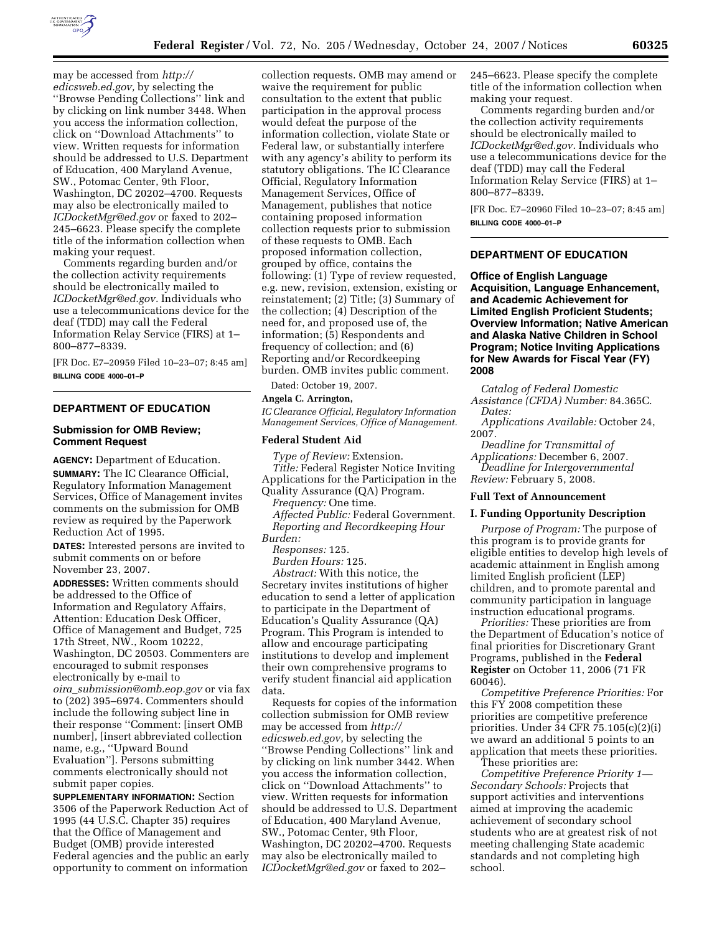

may be accessed from *http:// edicsweb.ed.gov,* by selecting the ''Browse Pending Collections'' link and by clicking on link number 3448. When you access the information collection, click on ''Download Attachments'' to view. Written requests for information should be addressed to U.S. Department of Education, 400 Maryland Avenue, SW., Potomac Center, 9th Floor, Washington, DC 20202–4700. Requests may also be electronically mailed to *ICDocketMgr@ed.gov* or faxed to 202– 245–6623. Please specify the complete title of the information collection when making your request.

Comments regarding burden and/or the collection activity requirements should be electronically mailed to *ICDocketMgr@ed.gov.* Individuals who use a telecommunications device for the deaf (TDD) may call the Federal Information Relay Service (FIRS) at 1– 800–877–8339.

[FR Doc. E7–20959 Filed 10–23–07; 8:45 am] **BILLING CODE 4000–01–P** 

# **DEPARTMENT OF EDUCATION**

# **Submission for OMB Review; Comment Request**

**AGENCY:** Department of Education. **SUMMARY:** The IC Clearance Official, Regulatory Information Management Services, Office of Management invites comments on the submission for OMB review as required by the Paperwork Reduction Act of 1995.

**DATES:** Interested persons are invited to submit comments on or before November 23, 2007.

**ADDRESSES:** Written comments should be addressed to the Office of Information and Regulatory Affairs, Attention: Education Desk Officer, Office of Management and Budget, 725 17th Street, NW., Room 10222, Washington, DC 20503. Commenters are encouraged to submit responses electronically by e-mail to *oira*\_*submission@omb.eop.gov* or via fax to (202) 395–6974. Commenters should include the following subject line in their response ''Comment: [insert OMB number], [insert abbreviated collection name, e.g., ''Upward Bound Evaluation'']. Persons submitting comments electronically should not submit paper copies.

**SUPPLEMENTARY INFORMATION:** Section 3506 of the Paperwork Reduction Act of 1995 (44 U.S.C. Chapter 35) requires that the Office of Management and Budget (OMB) provide interested Federal agencies and the public an early opportunity to comment on information

collection requests. OMB may amend or waive the requirement for public consultation to the extent that public participation in the approval process would defeat the purpose of the information collection, violate State or Federal law, or substantially interfere with any agency's ability to perform its statutory obligations. The IC Clearance Official, Regulatory Information Management Services, Office of Management, publishes that notice containing proposed information collection requests prior to submission of these requests to OMB. Each proposed information collection, grouped by office, contains the following: (1) Type of review requested, e.g. new, revision, extension, existing or reinstatement; (2) Title; (3) Summary of the collection; (4) Description of the need for, and proposed use of, the information; (5) Respondents and frequency of collection; and (6) Reporting and/or Recordkeeping burden. OMB invites public comment.

Dated: October 19, 2007.

## **Angela C. Arrington,**

*IC Clearance Official, Regulatory Information Management Services, Office of Management.* 

## **Federal Student Aid**

*Type of Review:* Extension. *Title:* Federal Register Notice Inviting Applications for the Participation in the Quality Assurance (QA) Program.

*Frequency:* One time.

*Affected Public:* Federal Government. *Reporting and Recordkeeping Hour Burden:* 

*Responses:* 125.

*Burden Hours:* 125.

*Abstract:* With this notice, the Secretary invites institutions of higher education to send a letter of application to participate in the Department of Education's Quality Assurance (QA) Program. This Program is intended to allow and encourage participating institutions to develop and implement their own comprehensive programs to verify student financial aid application data.

Requests for copies of the information collection submission for OMB review may be accessed from *http:// edicsweb.ed.gov*, by selecting the ''Browse Pending Collections'' link and by clicking on link number 3442. When you access the information collection, click on ''Download Attachments'' to view. Written requests for information should be addressed to U.S. Department of Education, 400 Maryland Avenue, SW., Potomac Center, 9th Floor, Washington, DC 20202–4700. Requests may also be electronically mailed to *ICDocketMgr@ed.gov* or faxed to 202–

245–6623. Please specify the complete title of the information collection when making your request.

Comments regarding burden and/or the collection activity requirements should be electronically mailed to *ICDocketMgr@ed.gov.* Individuals who use a telecommunications device for the deaf (TDD) may call the Federal Information Relay Service (FIRS) at 1– 800–877–8339.

[FR Doc. E7–20960 Filed 10–23–07; 8:45 am] **BILLING CODE 4000–01–P** 

# **DEPARTMENT OF EDUCATION**

**Office of English Language Acquisition, Language Enhancement, and Academic Achievement for Limited English Proficient Students; Overview Information; Native American and Alaska Native Children in School Program; Notice Inviting Applications for New Awards for Fiscal Year (FY) 2008** 

*Catalog of Federal Domestic Assistance (CFDA) Number:* 84.365C. *Dates:* 

*Applications Available:* October 24, 2007.

*Deadline for Transmittal of Applications:* December 6, 2007.

*Deadline for Intergovernmental Review:* February 5, 2008.

# **Full Text of Announcement**

## **I. Funding Opportunity Description**

*Purpose of Program:* The purpose of this program is to provide grants for eligible entities to develop high levels of academic attainment in English among limited English proficient (LEP) children, and to promote parental and community participation in language instruction educational programs.

*Priorities:* These priorities are from the Department of Education's notice of final priorities for Discretionary Grant Programs, published in the **Federal Register** on October 11, 2006 (71 FR 60046).

*Competitive Preference Priorities:* For this FY 2008 competition these priorities are competitive preference priorities. Under 34 CFR 75.105(c)(2)(i) we award an additional 5 points to an application that meets these priorities.

These priorities are: *Competitive Preference Priority 1— Secondary Schools:* Projects that support activities and interventions aimed at improving the academic achievement of secondary school students who are at greatest risk of not meeting challenging State academic standards and not completing high school.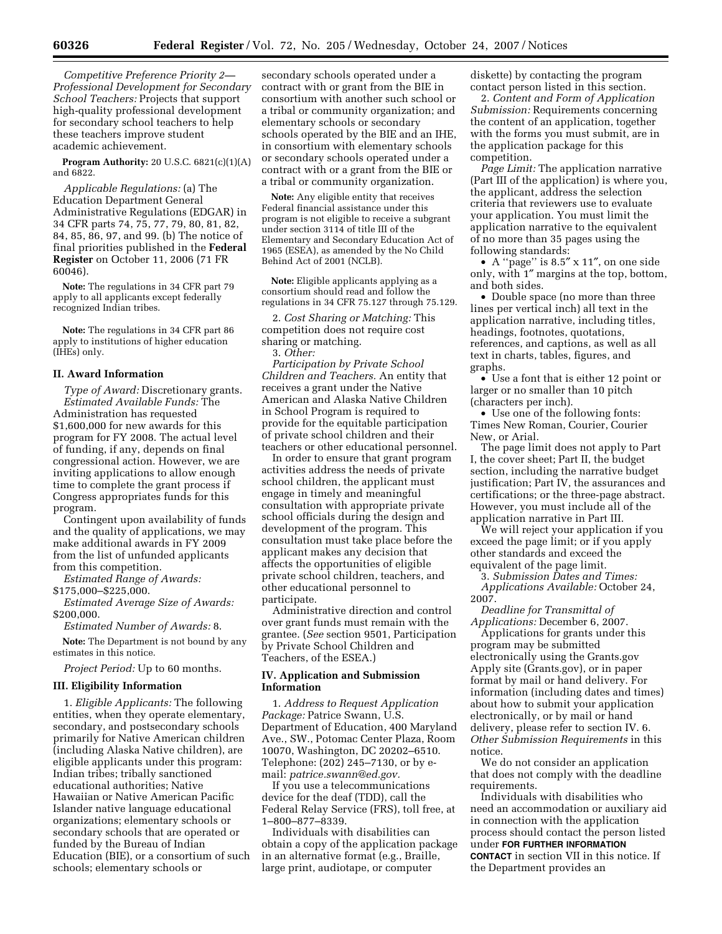*Competitive Preference Priority 2— Professional Development for Secondary School Teachers:* Projects that support high-quality professional development for secondary school teachers to help these teachers improve student academic achievement.

**Program Authority:** 20 U.S.C. 6821(c)(1)(A) and 6822.

*Applicable Regulations:* (a) The Education Department General Administrative Regulations (EDGAR) in 34 CFR parts 74, 75, 77, 79, 80, 81, 82, 84, 85, 86, 97, and 99. (b) The notice of final priorities published in the **Federal Register** on October 11, 2006 (71 FR 60046).

**Note:** The regulations in 34 CFR part 79 apply to all applicants except federally recognized Indian tribes.

**Note:** The regulations in 34 CFR part 86 apply to institutions of higher education (IHEs) only.

### **II. Award Information**

*Type of Award:* Discretionary grants. *Estimated Available Funds:* The Administration has requested \$1,600,000 for new awards for this program for FY 2008. The actual level of funding, if any, depends on final congressional action. However, we are inviting applications to allow enough time to complete the grant process if Congress appropriates funds for this program.

Contingent upon availability of funds and the quality of applications, we may make additional awards in FY 2009 from the list of unfunded applicants from this competition.

*Estimated Range of Awards:* 

\$175,000–\$225,000.

*Estimated Average Size of Awards:*  \$200,000.

*Estimated Number of Awards:* 8.

**Note:** The Department is not bound by any estimates in this notice.

*Project Period:* Up to 60 months.

#### **III. Eligibility Information**

1. *Eligible Applicants:* The following entities, when they operate elementary, secondary, and postsecondary schools primarily for Native American children (including Alaska Native children), are eligible applicants under this program: Indian tribes; tribally sanctioned educational authorities; Native Hawaiian or Native American Pacific Islander native language educational organizations; elementary schools or secondary schools that are operated or funded by the Bureau of Indian Education (BIE), or a consortium of such schools; elementary schools or

secondary schools operated under a contract with or grant from the BIE in consortium with another such school or a tribal or community organization; and elementary schools or secondary schools operated by the BIE and an IHE, in consortium with elementary schools or secondary schools operated under a contract with or a grant from the BIE or a tribal or community organization.

**Note:** Any eligible entity that receives Federal financial assistance under this program is not eligible to receive a subgrant under section 3114 of title III of the Elementary and Secondary Education Act of 1965 (ESEA), as amended by the No Child Behind Act of 2001 (NCLB).

**Note:** Eligible applicants applying as a consortium should read and follow the regulations in 34 CFR 75.127 through 75.129.

2. *Cost Sharing or Matching:* This competition does not require cost sharing or matching.

3. *Other:* 

*Participation by Private School Children and Teachers.* An entity that receives a grant under the Native American and Alaska Native Children in School Program is required to provide for the equitable participation of private school children and their teachers or other educational personnel.

In order to ensure that grant program activities address the needs of private school children, the applicant must engage in timely and meaningful consultation with appropriate private school officials during the design and development of the program. This consultation must take place before the applicant makes any decision that affects the opportunities of eligible private school children, teachers, and other educational personnel to participate.

Administrative direction and control over grant funds must remain with the grantee. (*See* section 9501, Participation by Private School Children and Teachers, of the ESEA.)

# **IV. Application and Submission Information**

1. *Address to Request Application Package:* Patrice Swann, U.S. Department of Education, 400 Maryland Ave., SW., Potomac Center Plaza, Room 10070, Washington, DC 20202–6510. Telephone: (202) 245–7130, or by email: *patrice.swann@ed.gov.* 

If you use a telecommunications device for the deaf (TDD), call the Federal Relay Service (FRS), toll free, at 1–800–877–8339.

Individuals with disabilities can obtain a copy of the application package in an alternative format (e.g., Braille, large print, audiotape, or computer

diskette) by contacting the program contact person listed in this section.

2. *Content and Form of Application Submission:* Requirements concerning the content of an application, together with the forms you must submit, are in the application package for this competition.

*Page Limit:* The application narrative (Part III of the application) is where you, the applicant, address the selection criteria that reviewers use to evaluate your application. You must limit the application narrative to the equivalent of no more than 35 pages using the following standards:

• A ''page'' is 8.5″ x 11″, on one side only, with 1″ margins at the top, bottom, and both sides.

• Double space (no more than three lines per vertical inch) all text in the application narrative, including titles, headings, footnotes, quotations, references, and captions, as well as all text in charts, tables, figures, and graphs.

• Use a font that is either 12 point or larger or no smaller than 10 pitch (characters per inch).

• Use one of the following fonts: Times New Roman, Courier, Courier New, or Arial.

The page limit does not apply to Part I, the cover sheet; Part II, the budget section, including the narrative budget justification; Part IV, the assurances and certifications; or the three-page abstract. However, you must include all of the application narrative in Part III.

We will reject your application if you exceed the page limit; or if you apply other standards and exceed the equivalent of the page limit.

3. *Submission Dates and Times: Applications Available:* October 24, 2007.

*Deadline for Transmittal of Applications:* December 6, 2007.

Applications for grants under this program may be submitted electronically using the Grants.gov Apply site (Grants.gov), or in paper format by mail or hand delivery. For information (including dates and times) about how to submit your application electronically, or by mail or hand delivery, please refer to section IV. 6. *Other Submission Requirements* in this notice.

We do not consider an application that does not comply with the deadline requirements.

Individuals with disabilities who need an accommodation or auxiliary aid in connection with the application process should contact the person listed under **FOR FURTHER INFORMATION CONTACT** in section VII in this notice. If the Department provides an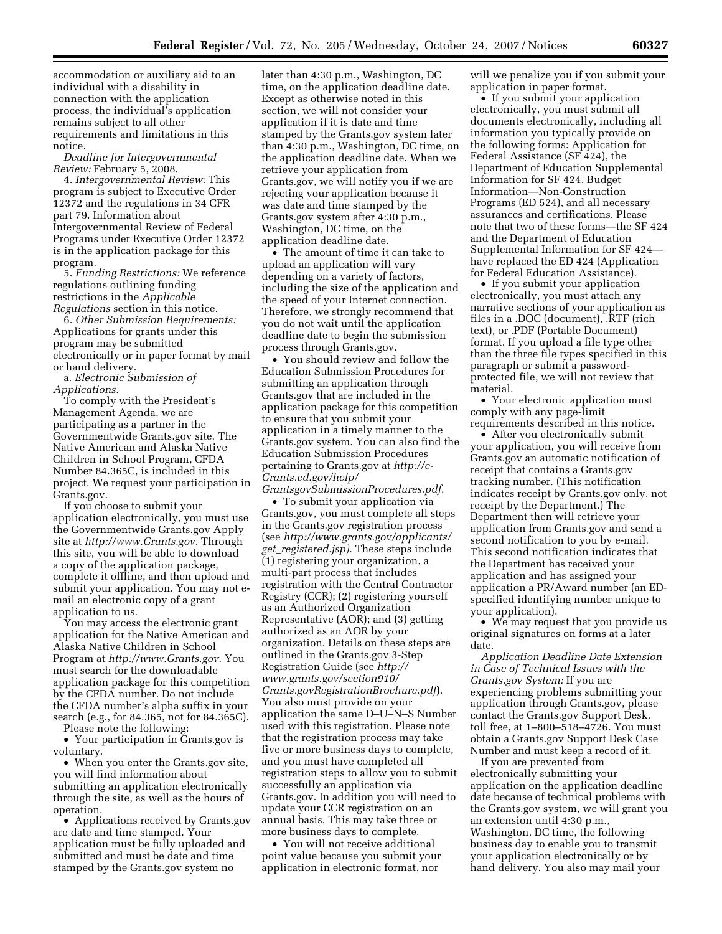accommodation or auxiliary aid to an individual with a disability in connection with the application process, the individual's application remains subject to all other requirements and limitations in this notice.

*Deadline for Intergovernmental Review:* February 5, 2008.

4. *Intergovernmental Review:* This program is subject to Executive Order 12372 and the regulations in 34 CFR part 79. Information about Intergovernmental Review of Federal Programs under Executive Order 12372 is in the application package for this program.

5. *Funding Restrictions:* We reference regulations outlining funding restrictions in the *Applicable Regulations* section in this notice.

6. *Other Submission Requirements:*  Applications for grants under this program may be submitted electronically or in paper format by mail or hand delivery.

a. *Electronic Submission of Applications.* 

To comply with the President's Management Agenda, we are participating as a partner in the Governmentwide Grants.gov site. The Native American and Alaska Native Children in School Program, CFDA Number 84.365C, is included in this project. We request your participation in Grants.gov.

If you choose to submit your application electronically, you must use the Governmentwide Grants.gov Apply site at *http://www.Grants.gov.* Through this site, you will be able to download a copy of the application package, complete it offline, and then upload and submit your application. You may not email an electronic copy of a grant application to us.

You may access the electronic grant application for the Native American and Alaska Native Children in School Program at *http://www.Grants.gov.* You must search for the downloadable application package for this competition by the CFDA number. Do not include the CFDA number's alpha suffix in your search (e.g., for 84.365, not for 84.365C).

Please note the following:

• Your participation in Grants.gov is voluntary.

• When you enter the Grants.gov site, you will find information about submitting an application electronically through the site, as well as the hours of operation.

• Applications received by Grants.gov are date and time stamped. Your application must be fully uploaded and submitted and must be date and time stamped by the Grants.gov system no

later than 4:30 p.m., Washington, DC time, on the application deadline date. Except as otherwise noted in this section, we will not consider your application if it is date and time stamped by the Grants.gov system later than 4:30 p.m., Washington, DC time, on the application deadline date. When we retrieve your application from Grants.gov, we will notify you if we are rejecting your application because it was date and time stamped by the Grants.gov system after 4:30 p.m., Washington, DC time, on the application deadline date.

• The amount of time it can take to upload an application will vary depending on a variety of factors, including the size of the application and the speed of your Internet connection. Therefore, we strongly recommend that you do not wait until the application deadline date to begin the submission process through Grants.gov.

• You should review and follow the Education Submission Procedures for submitting an application through Grants.gov that are included in the application package for this competition to ensure that you submit your application in a timely manner to the Grants.gov system. You can also find the Education Submission Procedures pertaining to Grants.gov at *http://e-Grants.ed.gov/help/ GrantsgovSubmissionProcedures.pdf.* 

• To submit your application via Grants.gov, you must complete all steps in the Grants.gov registration process (see *http://www.grants.gov/applicants/ get*\_*registered.jsp).* These steps include (1) registering your organization, a multi-part process that includes registration with the Central Contractor Registry (CCR); (2) registering yourself as an Authorized Organization Representative (AOR); and (3) getting authorized as an AOR by your organization. Details on these steps are outlined in the Grants.gov 3-Step Registration Guide (see *http:// www.grants.gov/section910/ Grants.govRegistrationBrochure.pdf*). You also must provide on your application the same D–U–N–S Number used with this registration. Please note that the registration process may take five or more business days to complete, and you must have completed all registration steps to allow you to submit successfully an application via Grants.gov. In addition you will need to update your CCR registration on an annual basis. This may take three or more business days to complete.

• You will not receive additional point value because you submit your application in electronic format, nor

will we penalize you if you submit your application in paper format.

• If you submit your application electronically, you must submit all documents electronically, including all information you typically provide on the following forms: Application for Federal Assistance (SF 424), the Department of Education Supplemental Information for SF 424, Budget Information—Non-Construction Programs (ED 524), and all necessary assurances and certifications. Please note that two of these forms—the SF 424 and the Department of Education Supplemental Information for SF 424 have replaced the ED 424 (Application for Federal Education Assistance).

• If you submit your application electronically, you must attach any narrative sections of your application as files in a .DOC (document), .RTF (rich text), or .PDF (Portable Document) format. If you upload a file type other than the three file types specified in this paragraph or submit a passwordprotected file, we will not review that material.

• Your electronic application must comply with any page-limit requirements described in this notice.

• After you electronically submit your application, you will receive from Grants.gov an automatic notification of receipt that contains a Grants.gov tracking number. (This notification indicates receipt by Grants.gov only, not receipt by the Department.) The Department then will retrieve your application from Grants.gov and send a second notification to you by e-mail. This second notification indicates that the Department has received your application and has assigned your application a PR/Award number (an EDspecified identifying number unique to your application).

• We may request that you provide us original signatures on forms at a later date.

*Application Deadline Date Extension in Case of Technical Issues with the Grants.gov System:* If you are experiencing problems submitting your application through Grants.gov, please contact the Grants.gov Support Desk, toll free, at 1–800–518–4726. You must obtain a Grants.gov Support Desk Case Number and must keep a record of it.

If you are prevented from electronically submitting your application on the application deadline date because of technical problems with the Grants.gov system, we will grant you an extension until 4:30 p.m., Washington, DC time, the following business day to enable you to transmit your application electronically or by hand delivery. You also may mail your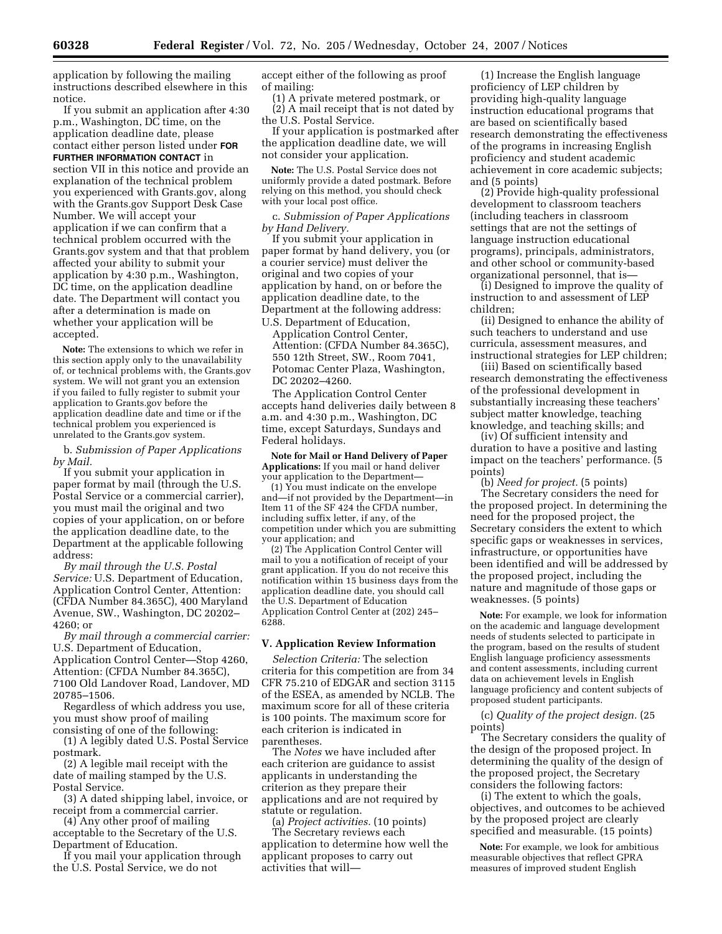application by following the mailing instructions described elsewhere in this notice.

If you submit an application after 4:30 p.m., Washington, DC time, on the application deadline date, please contact either person listed under **FOR FURTHER INFORMATION CONTACT** in section VII in this notice and provide an explanation of the technical problem you experienced with Grants.gov, along with the Grants.gov Support Desk Case Number. We will accept your application if we can confirm that a technical problem occurred with the Grants.gov system and that that problem affected your ability to submit your application by 4:30 p.m., Washington, DC time, on the application deadline date. The Department will contact you after a determination is made on whether your application will be accepted.

**Note:** The extensions to which we refer in this section apply only to the unavailability of, or technical problems with, the Grants.gov system. We will not grant you an extension if you failed to fully register to submit your application to Grants.gov before the application deadline date and time or if the technical problem you experienced is unrelated to the Grants.gov system.

b. *Submission of Paper Applications by Mail.* 

If you submit your application in paper format by mail (through the U.S. Postal Service or a commercial carrier), you must mail the original and two copies of your application, on or before the application deadline date, to the Department at the applicable following address:

*By mail through the U.S. Postal Service:* U.S. Department of Education, Application Control Center, Attention: (CFDA Number 84.365C), 400 Maryland Avenue, SW., Washington, DC 20202– 4260; or

*By mail through a commercial carrier:*  U.S. Department of Education, Application Control Center—Stop 4260, Attention: (CFDA Number 84.365C), 7100 Old Landover Road, Landover, MD 20785–1506.

Regardless of which address you use, you must show proof of mailing consisting of one of the following:

(1) A legibly dated U.S. Postal Service postmark.

(2) A legible mail receipt with the date of mailing stamped by the U.S. Postal Service.

(3) A dated shipping label, invoice, or receipt from a commercial carrier.

(4) Any other proof of mailing acceptable to the Secretary of the U.S. Department of Education.

If you mail your application through the U.S. Postal Service, we do not

accept either of the following as proof of mailing:

(1) A private metered postmark, or (2) A mail receipt that is not dated by the U.S. Postal Service.

If your application is postmarked after the application deadline date, we will not consider your application.

**Note:** The U.S. Postal Service does not uniformly provide a dated postmark. Before relying on this method, you should check with your local post office.

c. *Submission of Paper Applications by Hand Delivery.* 

If you submit your application in paper format by hand delivery, you (or a courier service) must deliver the original and two copies of your application by hand, on or before the application deadline date, to the Department at the following address:

U.S. Department of Education, Application Control Center, Attention: (CFDA Number 84.365C), 550 12th Street, SW., Room 7041, Potomac Center Plaza, Washington, DC 20202–4260.

The Application Control Center accepts hand deliveries daily between 8 a.m. and 4:30 p.m., Washington, DC time, except Saturdays, Sundays and Federal holidays.

**Note for Mail or Hand Delivery of Paper Applications:** If you mail or hand deliver your application to the Department—

(1) You must indicate on the envelope and—if not provided by the Department—in Item 11 of the SF 424 the CFDA number, including suffix letter, if any, of the competition under which you are submitting your application; and

(2) The Application Control Center will mail to you a notification of receipt of your grant application. If you do not receive this notification within 15 business days from the application deadline date, you should call the U.S. Department of Education Application Control Center at (202) 245– 6288.

# **V. Application Review Information**

*Selection Criteria:* The selection criteria for this competition are from 34 CFR 75.210 of EDGAR and section 3115 of the ESEA, as amended by NCLB. The maximum score for all of these criteria is 100 points. The maximum score for each criterion is indicated in parentheses.

The *Notes* we have included after each criterion are guidance to assist applicants in understanding the criterion as they prepare their applications and are not required by statute or regulation.

(a) *Project activities.* (10 points) The Secretary reviews each application to determine how well the applicant proposes to carry out activities that will—

(1) Increase the English language proficiency of LEP children by providing high-quality language instruction educational programs that are based on scientifically based research demonstrating the effectiveness of the programs in increasing English proficiency and student academic achievement in core academic subjects; and (5 points)

(2) Provide high-quality professional development to classroom teachers (including teachers in classroom settings that are not the settings of language instruction educational programs), principals, administrators, and other school or community-based organizational personnel, that is—

(i) Designed to improve the quality of instruction to and assessment of LEP children;

(ii) Designed to enhance the ability of such teachers to understand and use curricula, assessment measures, and instructional strategies for LEP children;

(iii) Based on scientifically based research demonstrating the effectiveness of the professional development in substantially increasing these teachers' subject matter knowledge, teaching knowledge, and teaching skills; and

(iv) Of sufficient intensity and duration to have a positive and lasting impact on the teachers' performance. (5 points)

(b) *Need for project.* (5 points) The Secretary considers the need for the proposed project. In determining the need for the proposed project, the Secretary considers the extent to which specific gaps or weaknesses in services, infrastructure, or opportunities have been identified and will be addressed by the proposed project, including the nature and magnitude of those gaps or weaknesses. (5 points)

**Note:** For example, we look for information on the academic and language development needs of students selected to participate in the program, based on the results of student English language proficiency assessments and content assessments, including current data on achievement levels in English language proficiency and content subjects of proposed student participants.

(c) *Quality of the project design.* (25 points)

The Secretary considers the quality of the design of the proposed project. In determining the quality of the design of the proposed project, the Secretary considers the following factors:

(i) The extent to which the goals, objectives, and outcomes to be achieved by the proposed project are clearly specified and measurable. (15 points)

**Note:** For example, we look for ambitious measurable objectives that reflect GPRA measures of improved student English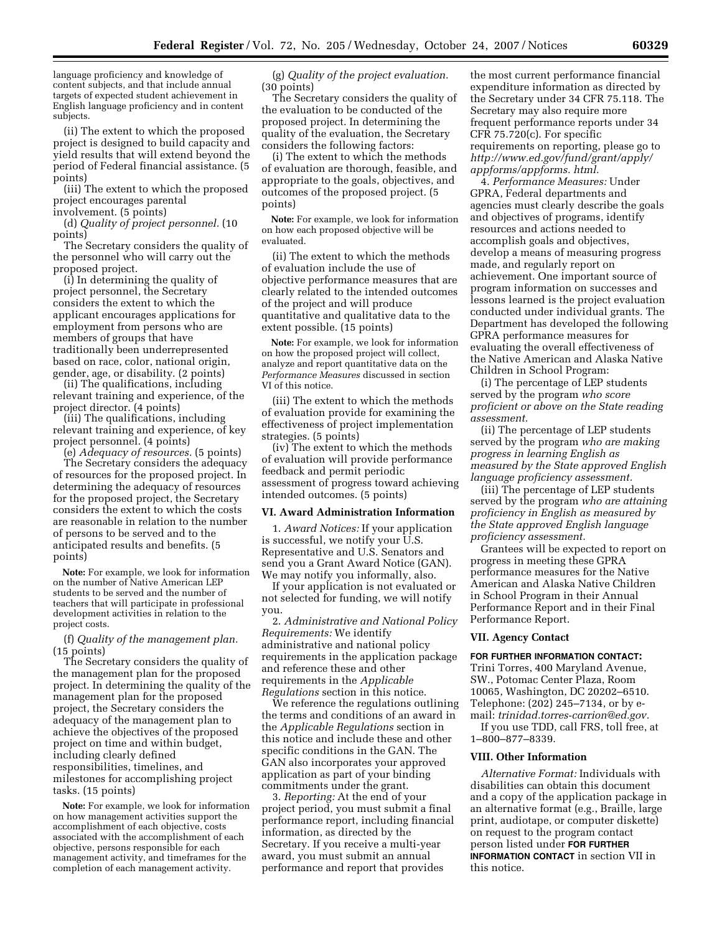language proficiency and knowledge of content subjects, and that include annual targets of expected student achievement in English language proficiency and in content subjects.

(ii) The extent to which the proposed project is designed to build capacity and yield results that will extend beyond the period of Federal financial assistance. (5 points)

(iii) The extent to which the proposed project encourages parental involvement. (5 points)

(d) *Quality of project personnel.* (10 points)

The Secretary considers the quality of the personnel who will carry out the proposed project.

(i) In determining the quality of project personnel, the Secretary considers the extent to which the applicant encourages applications for employment from persons who are members of groups that have traditionally been underrepresented based on race, color, national origin, gender, age, or disability. (2 points)

(ii) The qualifications, including relevant training and experience, of the project director. (4 points)

(iii) The qualifications, including relevant training and experience, of key project personnel. (4 points)

(e) *Adequacy of resources.* (5 points)

The Secretary considers the adequacy of resources for the proposed project. In determining the adequacy of resources for the proposed project, the Secretary considers the extent to which the costs are reasonable in relation to the number of persons to be served and to the anticipated results and benefits. (5 points)

**Note:** For example, we look for information on the number of Native American LEP students to be served and the number of teachers that will participate in professional development activities in relation to the project costs.

(f) *Quality of the management plan.*  (15 points)

The Secretary considers the quality of the management plan for the proposed project. In determining the quality of the management plan for the proposed project, the Secretary considers the adequacy of the management plan to achieve the objectives of the proposed project on time and within budget, including clearly defined responsibilities, timelines, and milestones for accomplishing project tasks. (15 points)

**Note:** For example, we look for information on how management activities support the accomplishment of each objective, costs associated with the accomplishment of each objective, persons responsible for each management activity, and timeframes for the completion of each management activity.

(g) *Quality of the project evaluation.*  (30 points)

The Secretary considers the quality of the evaluation to be conducted of the proposed project. In determining the quality of the evaluation, the Secretary considers the following factors:

(i) The extent to which the methods of evaluation are thorough, feasible, and appropriate to the goals, objectives, and outcomes of the proposed project. (5 points)

**Note:** For example, we look for information on how each proposed objective will be evaluated.

(ii) The extent to which the methods of evaluation include the use of objective performance measures that are clearly related to the intended outcomes of the project and will produce quantitative and qualitative data to the extent possible. (15 points)

**Note:** For example, we look for information on how the proposed project will collect, analyze and report quantitative data on the *Performance Measures* discussed in section VI of this notice.

(iii) The extent to which the methods of evaluation provide for examining the effectiveness of project implementation strategies. (5 points)

(iv) The extent to which the methods of evaluation will provide performance feedback and permit periodic assessment of progress toward achieving intended outcomes. (5 points)

#### **VI. Award Administration Information**

1. *Award Notices:* If your application is successful, we notify your U.S. Representative and U.S. Senators and send you a Grant Award Notice (GAN). We may notify you informally, also.

If your application is not evaluated or not selected for funding, we will notify you.

2. *Administrative and National Policy Requirements:* We identify administrative and national policy requirements in the application package and reference these and other requirements in the *Applicable Regulations* section in this notice.

We reference the regulations outlining the terms and conditions of an award in the *Applicable Regulations* section in this notice and include these and other specific conditions in the GAN. The GAN also incorporates your approved application as part of your binding commitments under the grant.

3. *Reporting:* At the end of your project period, you must submit a final performance report, including financial information, as directed by the Secretary. If you receive a multi-year award, you must submit an annual performance and report that provides

the most current performance financial expenditure information as directed by the Secretary under 34 CFR 75.118. The Secretary may also require more frequent performance reports under 34 CFR 75.720(c). For specific requirements on reporting, please go to *http://www.ed.gov/fund/grant/apply/ appforms/appforms. html.* 

4. *Performance Measures:* Under GPRA, Federal departments and agencies must clearly describe the goals and objectives of programs, identify resources and actions needed to accomplish goals and objectives, develop a means of measuring progress made, and regularly report on achievement. One important source of program information on successes and lessons learned is the project evaluation conducted under individual grants. The Department has developed the following GPRA performance measures for evaluating the overall effectiveness of the Native American and Alaska Native Children in School Program:

(i) The percentage of LEP students served by the program *who score proficient or above on the State reading assessment.* 

(ii) The percentage of LEP students served by the program *who are making progress in learning English as measured by the State approved English language proficiency assessment.* 

(iii) The percentage of LEP students served by the program *who are attaining proficiency in English as measured by the State approved English language proficiency assessment.* 

Grantees will be expected to report on progress in meeting these GPRA performance measures for the Native American and Alaska Native Children in School Program in their Annual Performance Report and in their Final Performance Report.

#### **VII. Agency Contact**

# **FOR FURTHER INFORMATION CONTACT:**

Trini Torres, 400 Maryland Avenue, SW., Potomac Center Plaza, Room 10065, Washington, DC 20202–6510. Telephone: (202) 245–7134, or by email: *trinidad.torres-carrion@ed.gov.* 

If you use TDD, call FRS, toll free, at 1–800–877–8339.

# **VIII. Other Information**

*Alternative Format:* Individuals with disabilities can obtain this document and a copy of the application package in an alternative format (e.g., Braille, large print, audiotape, or computer diskette) on request to the program contact person listed under **FOR FURTHER INFORMATION CONTACT** in section VII in this notice.